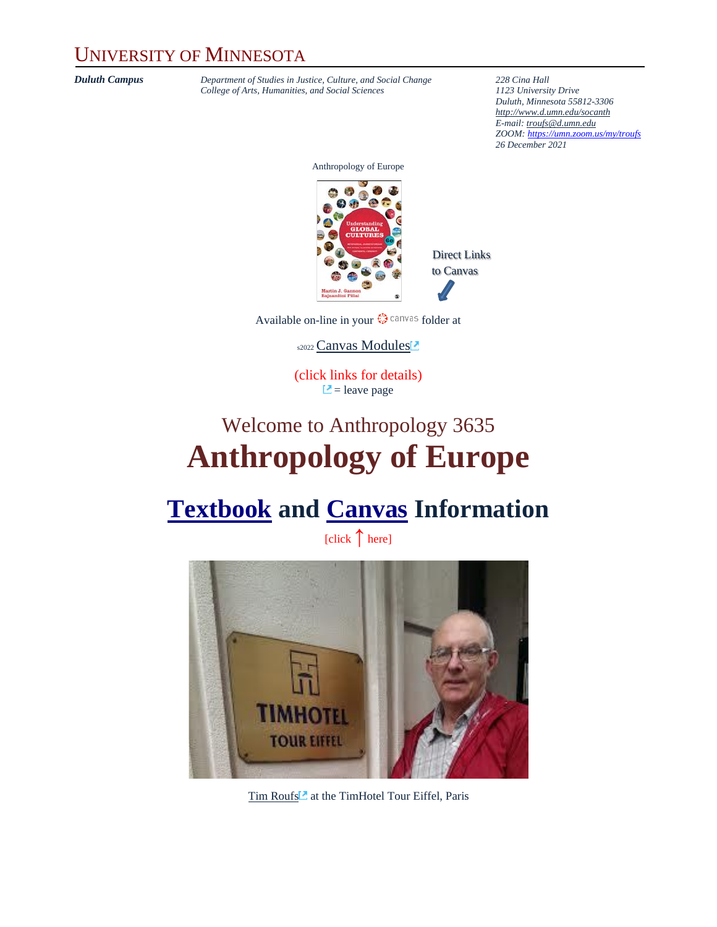#### UNIVERSITY OF MINNESOTA

*Duluth Campus Department of Studies in Justice, Culture, and Social Change* **228** *Cina Hall College of Arts, Humanities, and Social Sciences 1123 University Drive College of Arts, Humanities, and Social Sciences 1123 University Drive*

*Duluth, Minnesota 55812-3306 <http://www.d.umn.edu/socanth> E-mail: [troufs@d.umn.edu](mailto:troufs@d.umn.edu) ZOOM: <https://umn.zoom.us/my/troufs> 26 December 2021*

Anthropology of Europe



Direct Links to Canvas

Available on-line in your  $\mathbb{Q}$  canvas folder at

s2022 [Canvas Modules](https://canvas.umn.edu/courses/282731/modules/945780)

(click links for details)  $\Box$  = leave page

## Welcome to Anthropology 3635 **Anthropology of Europe**

### **[Textbook](#page-2-0) and [Canvas](#page-4-0) Information**

[click **↑** here]



[Tim Roufs](http://www.d.umn.edu/~troufs/#title)<sup>2</sup> at the TimHotel Tour Eiffel, Paris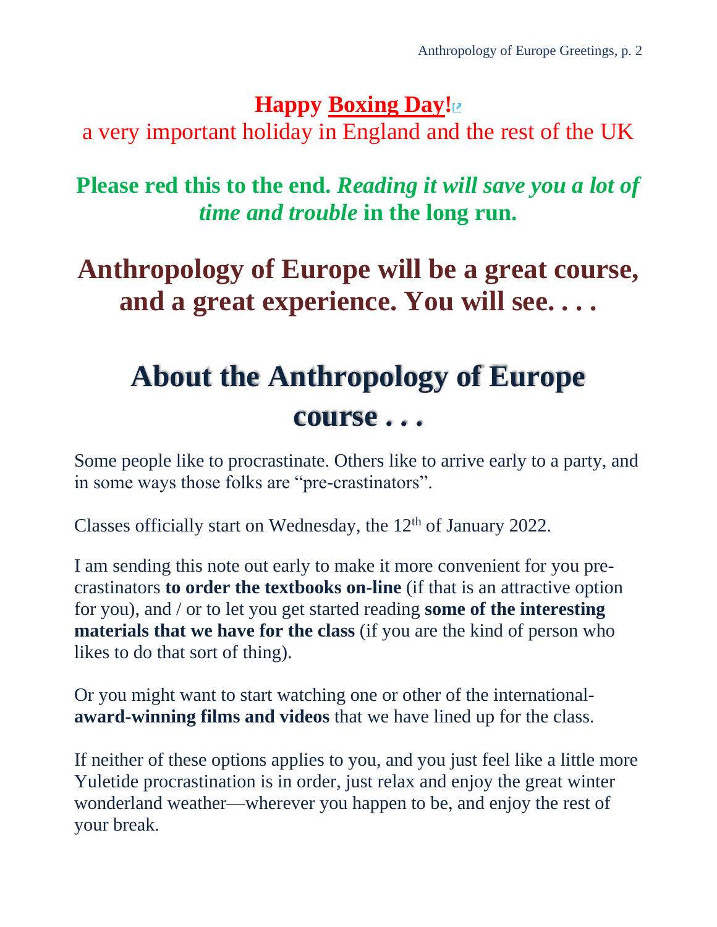### **Happy [Boxing Day!](https://en.wikipedia.org/wiki/Boxing_Day)**

a very important holiday in England and the rest of the UK

**Please red this to the end.** *Reading it will save you a lot of time and trouble* **in the long run.**

## **Anthropology of Europe will be a great course, and a great experience. You will see. . . .**

# **About the Anthropology of Europe course . . .**

Some people like to procrastinate. Others like to arrive early to a party, and in some ways those folks are "pre-crastinators".

Classes officially start on Wednesday, the 12<sup>th</sup> of January 2022.

I am sending this note out early to make it more convenient for you precrastinators **to order the textbooks on-line** (if that is an attractive option for you), and / or to let you get started reading **some of the interesting materials that we have for the class** (if you are the kind of person who likes to do that sort of thing).

Or you might want to start watching one or other of the international**award-winning films and videos** that we have lined up for the class.

If neither of these options applies to you, and you just feel like a little more Yuletide procrastination is in order, just relax and enjoy the great winter wonderland weather—wherever you happen to be, and enjoy the rest of your break.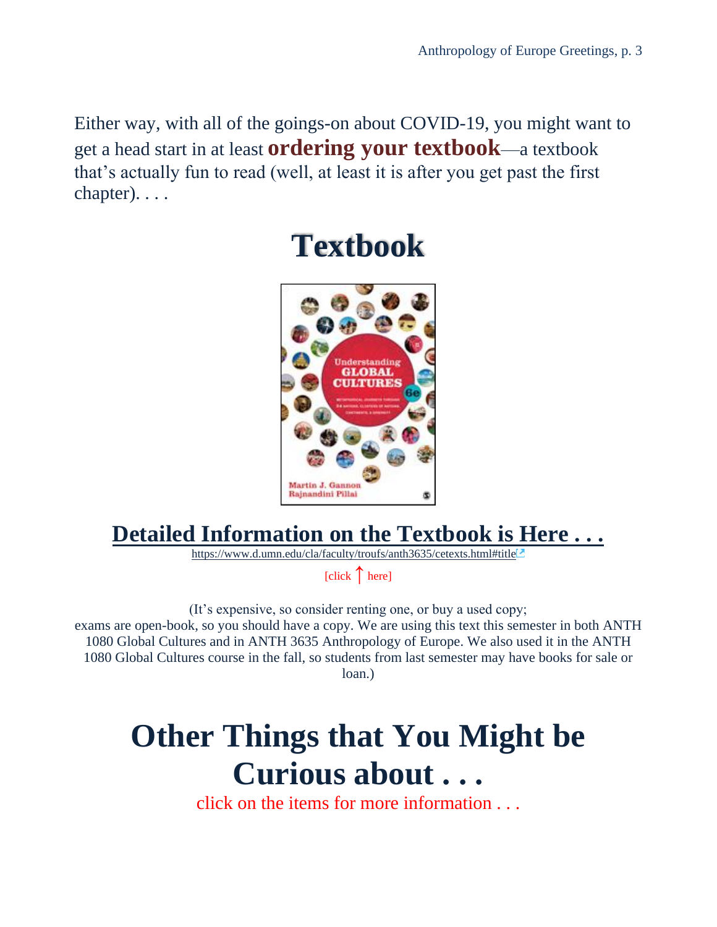<span id="page-2-0"></span>Either way, with all of the goings-on about COVID-19, you might want to get a head start in at least **ordering your textbook**—a textbook that's actually fun to read (well, at least it is after you get past the first chapter). . . .



## **Textbook**

### **[Detailed Information on the Textbook is Here](https://www.d.umn.edu/cla/faculty/troufs/anth3635/cetexts.html#title) . . .**

<https://www.d.umn.edu/cla/faculty/troufs/anth3635/cetexts.html#title>

[click **↑** here]

(It's expensive, so consider renting one, or buy a used copy; exams are open-book, so you should have a copy. We are using this text this semester in both ANTH 1080 Global Cultures and in ANTH 3635 Anthropology of Europe. We also used it in the ANTH 1080 Global Cultures course in the fall, so students from last semester may have books for sale or loan.)

# **Other Things that You Might be Curious about . . .**

click on the items for more information . . .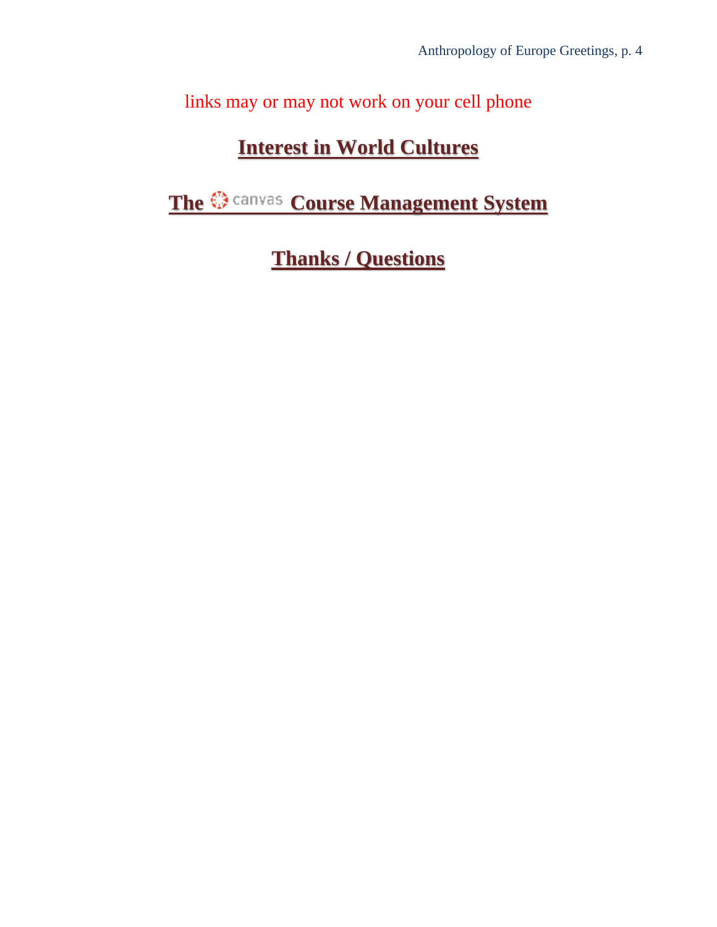links may or may not work on your cell phone

### **[Interest in World Cultures](#page-4-1)**

**[The Course Management System](#page-4-0)** 

**[Thanks / Questions](#page-9-0)**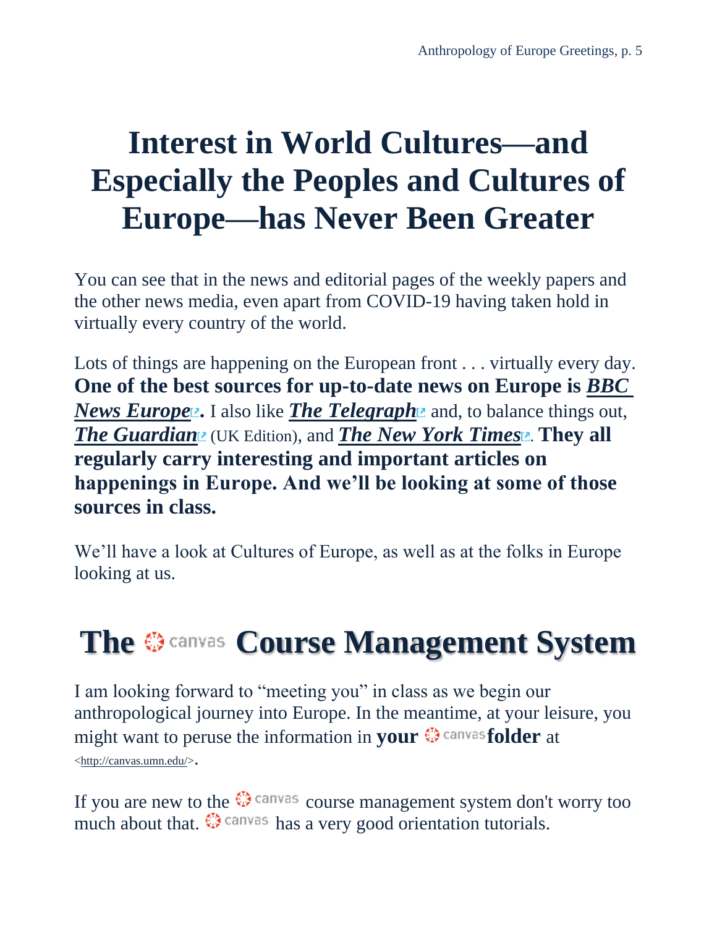# <span id="page-4-1"></span>**Interest in World Cultures—and Especially the Peoples and Cultures of Europe—has Never Been Greater**

You can see that in the news and editorial pages of the weekly papers and the other news media, even apart from COVID-19 having taken hold in virtually every country of the world.

Lots of things are happening on the European front . . . virtually every day. **One of the best sources for up-to-date news on Europe is** *[BBC](http://www.bbc.com/news/world/europe/)  [News Europe](http://www.bbc.com/news/world/europe/)*. I also like *[The Telegraph](http://www.telegraph.co.uk/)* and, to balance things out, **[The Guardian](http://www.theguardian.com/uk)** (UK Edition), and **[The New York Times](http://www.nytimes.com/)** . **They all regularly carry interesting and important articles on happenings in Europe. And we'll be looking at some of those sources in class.**

We'll have a look at Cultures of Europe, as well as at the folks in Europe looking at us.

# <span id="page-4-0"></span>**TheCourse Management System**

I am looking forward to "meeting you" in class as we begin our anthropological journey into Europe. In the meantime, at your leisure, you might want to peruse the information in **yourfolder** at [<http://canvas.umn.edu/>](http://canvas.umn.edu/).

If you are new to the  $\mathbb{Q}$  canvas course management system don't worry too much about that.  $\mathbb{Q}$  canvas has a very good orientation tutorials.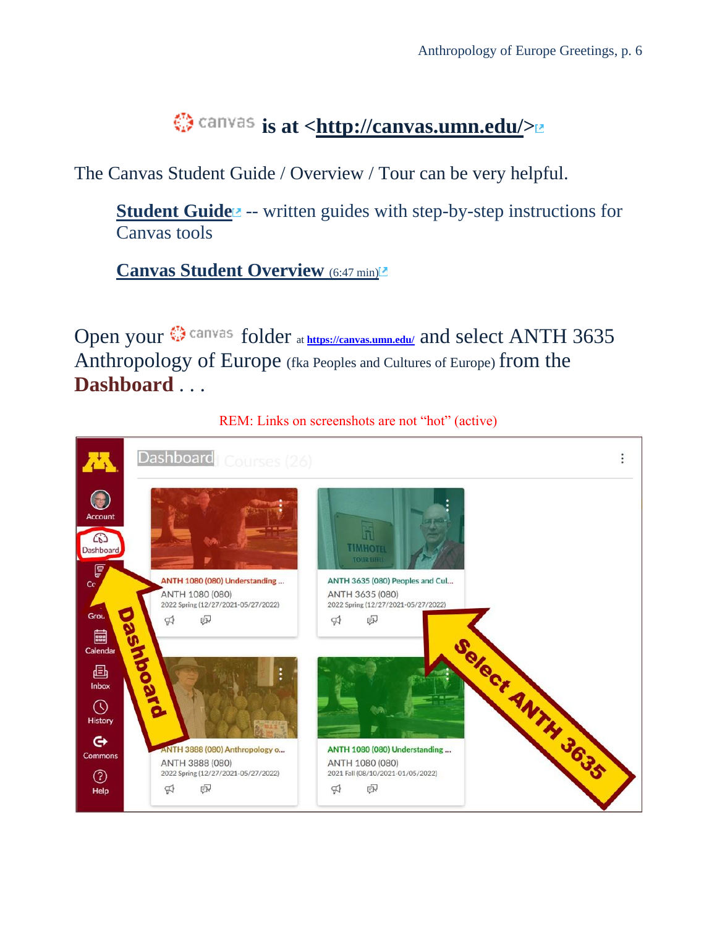### $\bigcirc$  canvas is at [<http://canvas.umn.edu/>](http://canvas.umn.edu/)

The Canvas Student Guide / Overview / Tour can be very helpful.

**[Student Guide](https://community.canvaslms.com/docs/DOC-10701)<sup>z</sup>** -- written guides with step-by-step instructions for Canvas tools

**[Canvas Student Overview](https://community.canvaslms.com/videos/1124-canvas-overview-students)** [\(6:47 min\)](https://community.canvaslms.com/videos/1124-canvas-overview-students)

Open your  $\bigcirc$  canvas folder at **<https://canvas.umn.edu/>** and select ANTH 3635 Anthropology of Europe (fka Peoples and Cultures of Europe) from the **Dashboard** . . .



REM: Links on screenshots are not "hot" (active)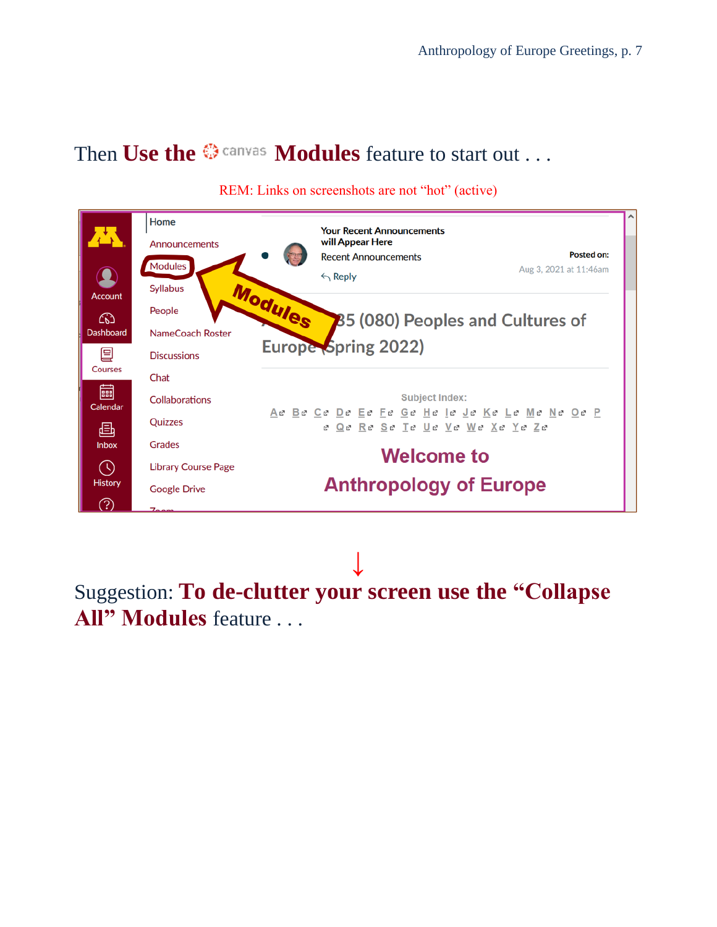#### Then Use the  $\otimes$  canvas **Modules** feature to start out . . .



#### REM: Links on screenshots are not "hot" (active)

**↓** Suggestion: **To de-clutter your screen use the "Collapse All" Modules** feature . . .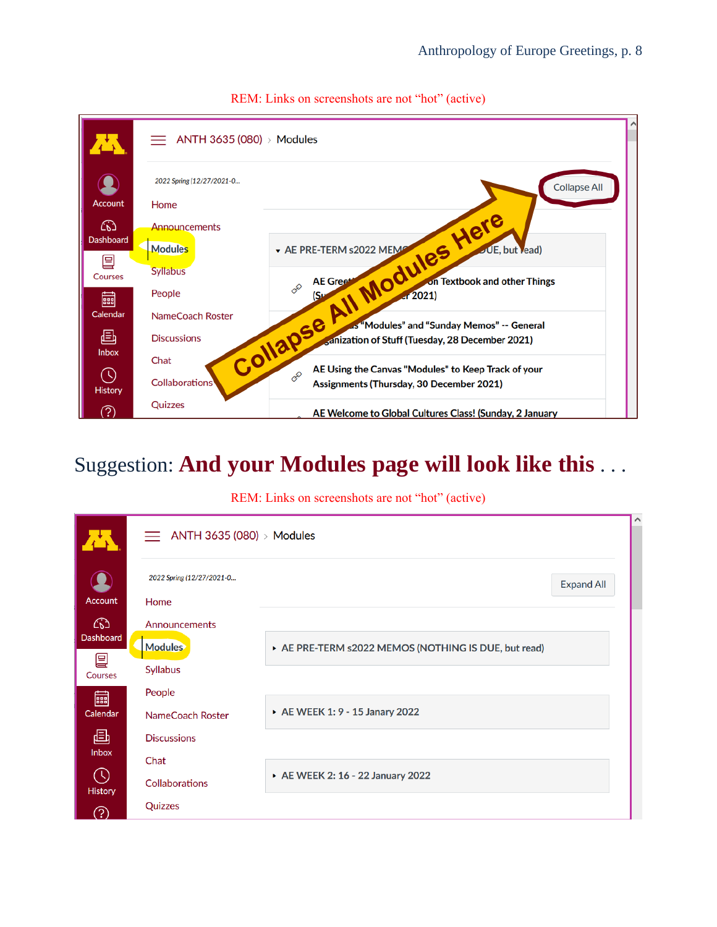

#### REM: Links on screenshots are not "hot" (active)

### Suggestion: **And your Modules page will look like this** . . .

#### REM: Links on screenshots are not "hot" (active)

|                                  |                                    |                                                      |                   | $\wedge$ |
|----------------------------------|------------------------------------|------------------------------------------------------|-------------------|----------|
|                                  | $\equiv$ ANTH 3635 (080) > Modules |                                                      |                   |          |
|                                  | 2022 Spring (12/27/2021-0          |                                                      | <b>Expand All</b> |          |
| <b>Account</b>                   | Home                               |                                                      |                   |          |
| $\omega$                         | Announcements                      |                                                      |                   |          |
| Dashboard                        | <b>Modules</b>                     | ▶ AE PRE-TERM s2022 MEMOS (NOTHING IS DUE, but read) |                   |          |
| 囯<br>Courses                     | <b>Syllabus</b>                    |                                                      |                   |          |
| 匾                                | People                             |                                                      |                   |          |
| Calendar                         | NameCoach Roster                   | ▶ AE WEEK 1: 9 - 15 Janary 2022                      |                   |          |
| 画                                | <b>Discussions</b>                 |                                                      |                   |          |
| <b>Inbox</b>                     | Chat                               |                                                      |                   |          |
| $\circledcirc$<br><b>History</b> | <b>Collaborations</b>              | ▶ AE WEEK 2: 16 - 22 January 2022                    |                   |          |
| က                                | Quizzes                            |                                                      |                   |          |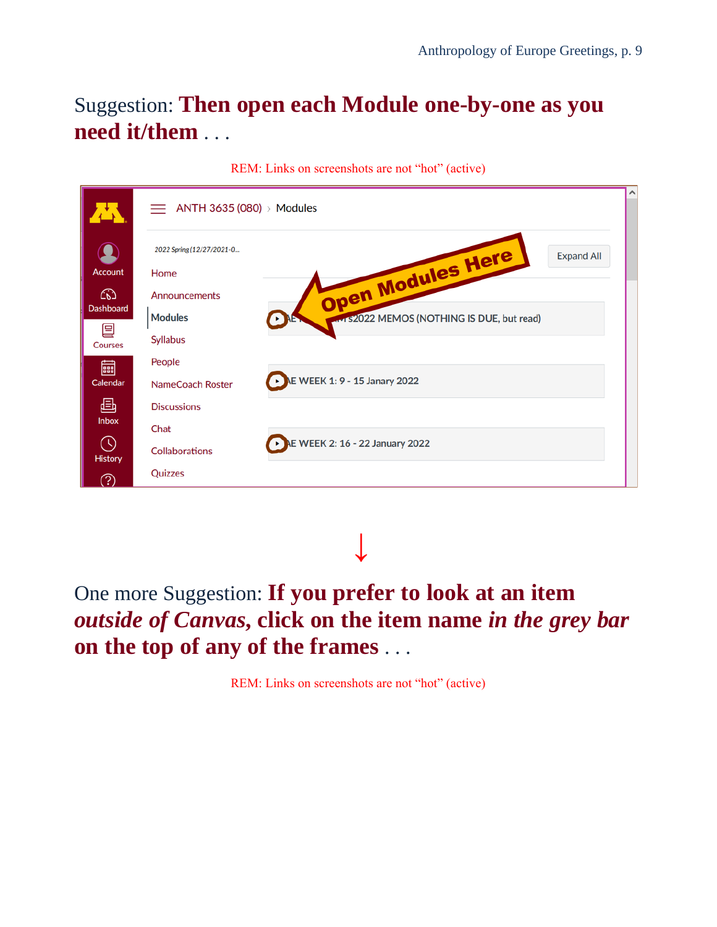### Suggestion: **Then open each Module one-by-one as you need it/them** . . .

|                  | $\equiv$ ANTH 3635 (080) > Modules               |                                        |
|------------------|--------------------------------------------------|----------------------------------------|
| $\blacksquare$   | 2022 Spring (12/27/2021-0                        | Open Modules Here<br><b>Expand All</b> |
| Account          | Home                                             |                                        |
| ඟ                | Announcements                                    |                                        |
| <b>Dashboard</b> | <b>Modules</b>                                   | 12022 MEMOS (NOTHING IS DUE, but read) |
| 囯<br>Courses     | <b>Syllabus</b>                                  |                                        |
| 匾                | People                                           |                                        |
| Calendar         | E WEEK 1: 9 - 15 Janary 2022<br>NameCoach Roster |                                        |
| 画                | <b>Discussions</b>                               |                                        |
| <b>Inbox</b>     | Chat                                             |                                        |
| ➀<br>History     | <b>Collaborations</b>                            | <b>AE WEEK 2: 16 - 22 January 2022</b> |
| ව                | Quizzes                                          |                                        |

REM: Links on screenshots are not "hot" (active)

**↓**

### One more Suggestion: **If you prefer to look at an item**  *outside of Canvas***, click on the item name** *in the grey bar* **on the top of any of the frames** . . .

REM: Links on screenshots are not "hot" (active)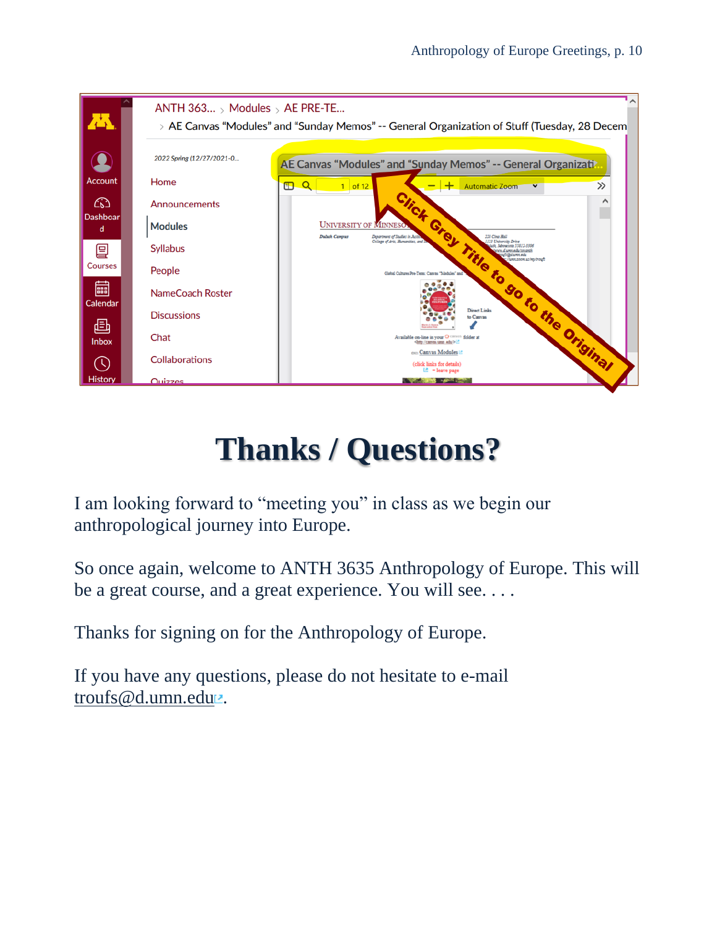

# **Thanks / Questions?**

<span id="page-9-0"></span>I am looking forward to "meeting you" in class as we begin our anthropological journey into Europe.

So once again, welcome to ANTH 3635 Anthropology of Europe. This will be a great course, and a great experience. You will see....

Thanks for signing on for the Anthropology of Europe.

If you have any questions, please do not hesitate to e-mail [troufs@d.umn.edu](mailto:troufs@d.umn.edu) ...